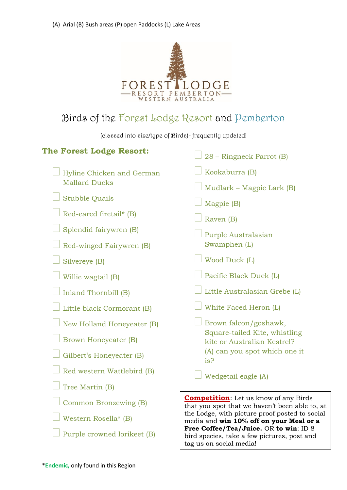

## Birds of the Forest Lodge Resort and Pemberton

(classed into size/type of Birds)- frequently updated!

| <b>The Forest Lodge Resort:</b>                   | 28 – Ringneck Parrot (B)                                                                                                                                                                    |
|---------------------------------------------------|---------------------------------------------------------------------------------------------------------------------------------------------------------------------------------------------|
|                                                   |                                                                                                                                                                                             |
| Hyline Chicken and German<br><b>Mallard Ducks</b> | Kookaburra (B)                                                                                                                                                                              |
|                                                   | Mudlark – Magpie Lark (B)                                                                                                                                                                   |
| <b>Stubble Quails</b>                             | Magpie (B)                                                                                                                                                                                  |
| Red-eared firetail* (B)                           | Raven (B)                                                                                                                                                                                   |
| Splendid fairywren (B)                            | Purple Australasian                                                                                                                                                                         |
| Red-winged Fairywren (B)                          | Swamphen (L)                                                                                                                                                                                |
| Silvereye (B)                                     | Wood Duck (L)                                                                                                                                                                               |
| Willie wagtail (B)                                | Pacific Black Duck (L)                                                                                                                                                                      |
| <b>Inland Thornbill (B)</b>                       | Little Australasian Grebe (L)                                                                                                                                                               |
| Little black Cormorant (B)                        | White Faced Heron (L)                                                                                                                                                                       |
| New Holland Honeyeater (B)                        | Brown falcon/goshawk,<br>Square-tailed Kite, whistling<br>kite or Australian Kestrel?<br>(A) can you spot which one it<br>is?                                                               |
| <b>Brown Honeyeater (B)</b>                       |                                                                                                                                                                                             |
| Gilbert's Honeyeater (B)                          |                                                                                                                                                                                             |
| Red western Wattlebird (B)                        | Wedgetail eagle (A)                                                                                                                                                                         |
| Tree Martin (B)                                   |                                                                                                                                                                                             |
| Common Bronzewing (B)                             | <b>Competition:</b> Let us know of any Birds<br>that you spot that we haven't been able to, at<br>the Lodge, with picture proof posted to social<br>media and win 10% off on your Meal or a |
| Western Rosella* (B)                              |                                                                                                                                                                                             |
| Purple crowned lorikeet (B)                       | Free Coffee/Tea/Juice. OR to win: ID 8<br>bird species, take a few pictures, post and                                                                                                       |

tag us on social media!